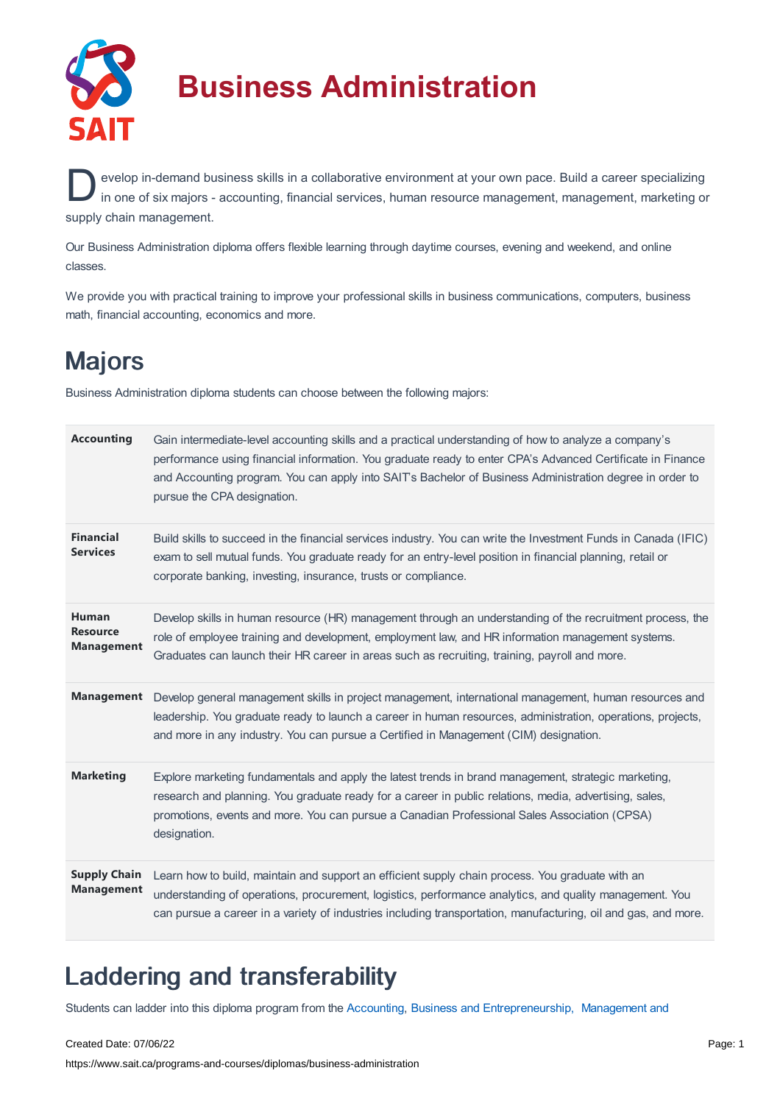

**Business Administration**

evelop in-demand business skills in a collaborative environment at your own pace. Build a career specializing<br>in one of six majors - accounting, financial services, human resource management, management, marketing or evelop in-demand business skills in a collaborative environment at your own pace. Build a career specializing supply chain management.

Our Business Administration diploma offers flexible learning through daytime courses, evening and weekend, and online classes.

We provide you with practical training to improve your professional skills in business communications, computers, business math, financial accounting, economics and more.

## Majors

Business Administration diploma students can choose between the following majors:

| <b>Accounting</b>                                    | Gain intermediate-level accounting skills and a practical understanding of how to analyze a company's<br>performance using financial information. You graduate ready to enter CPA's Advanced Certificate in Finance<br>and Accounting program. You can apply into SAIT's Bachelor of Business Administration degree in order to<br>pursue the CPA designation. |
|------------------------------------------------------|----------------------------------------------------------------------------------------------------------------------------------------------------------------------------------------------------------------------------------------------------------------------------------------------------------------------------------------------------------------|
| <b>Financial</b><br><b>Services</b>                  | Build skills to succeed in the financial services industry. You can write the Investment Funds in Canada (IFIC)<br>exam to sell mutual funds. You graduate ready for an entry-level position in financial planning, retail or<br>corporate banking, investing, insurance, trusts or compliance.                                                                |
| <b>Human</b><br><b>Resource</b><br><b>Management</b> | Develop skills in human resource (HR) management through an understanding of the recruitment process, the<br>role of employee training and development, employment law, and HR information management systems.<br>Graduates can launch their HR career in areas such as recruiting, training, payroll and more.                                                |
| <b>Management</b>                                    | Develop general management skills in project management, international management, human resources and<br>leadership. You graduate ready to launch a career in human resources, administration, operations, projects,<br>and more in any industry. You can pursue a Certified in Management (CIM) designation.                                                 |
| <b>Marketing</b>                                     | Explore marketing fundamentals and apply the latest trends in brand management, strategic marketing,<br>research and planning. You graduate ready for a career in public relations, media, advertising, sales,<br>promotions, events and more. You can pursue a Canadian Professional Sales Association (CPSA)<br>designation.                                 |
| <b>Supply Chain</b><br><b>Management</b>             | Learn how to build, maintain and support an efficient supply chain process. You graduate with an<br>understanding of operations, procurement, logistics, performance analytics, and quality management. You<br>can pursue a career in a variety of industries including transportation, manufacturing, oil and gas, and more.                                  |

### Laddering and transferability

Students can ladder into this diploma program from the [Accounting](https://www.sait.ca/programs-and-courses/certificates/accounting), Business and [Entrepreneurship,](https://www.sait.ca/programs-and-courses/certificates/management-and-leadership) Management and

#### Created Date: 07/06/22

https://www.sait.ca/programs-and-courses/diplomas/business-administration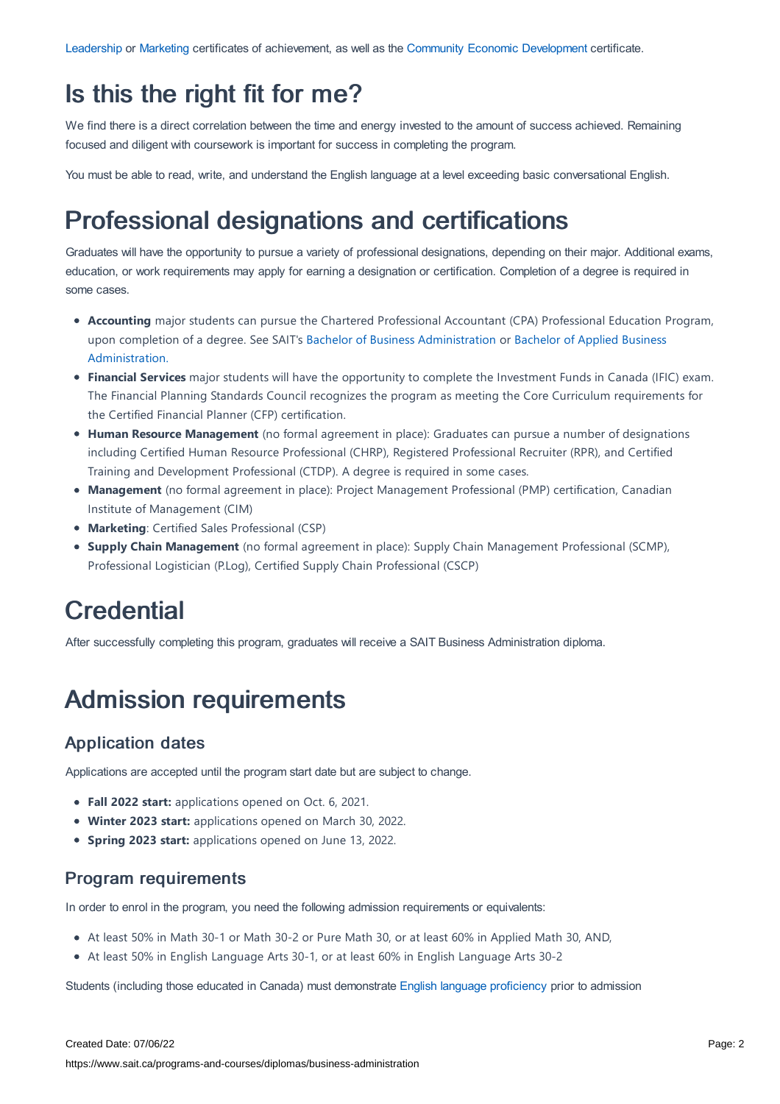Leadership or [Marketing](https://www.sait.ca/programs-and-courses/certificates/marketing) certificates of achievement, as well as the Community Economic [Development](https://www.sait.ca/programs-and-courses/certificates/community-economic-development) certificate.

# Is this the right fit for me?

We find there is a direct correlation between the time and energy invested to the amount of success achieved. Remaining focused and diligent with coursework is important for success in completing the program.

You must be able to read, write, and understand the English language at a level exceeding basic conversational English.

# Professional designations and certifications

Graduates will have the opportunity to pursue a variety of professional designations, depending on their major. Additional exams, education, or work requirements may apply for earning a designation or certification. Completion of a degree is required in some cases.

- **Accounting** major students can pursue the Chartered Professional Accountant (CPA) Professional Education Program, upon completion of a degree. See SAIT's Bachelor of Business [Administration](https://www.sait.ca/programs-and-courses/degrees/bachelor-of-business-administration) or Bachelor of Applied Business [Administration.](https://www.sait.ca/programs-and-courses/degrees/bachelor-of-applied-business-administration)
- **Financial Services** major students will have the opportunity to complete the Investment Funds in Canada (IFIC) exam. The Financial Planning Standards Council recognizes the program as meeting the Core Curriculum requirements for the Certified Financial Planner (CFP) certification.
- **Human Resource Management** (no formal agreement in place): Graduates can pursue a number of designations including Certified Human Resource Professional (CHRP), Registered Professional Recruiter (RPR), and Certified Training and Development Professional (CTDP). A degree is required in some cases.
- **Management** (no formal agreement in place): Project Management Professional (PMP) certification, Canadian Institute of Management (CIM)
- **Marketing**: Certified Sales Professional (CSP)
- **Supply Chain Management** (no formal agreement in place): Supply Chain Management Professional (SCMP), Professional Logistician (P.Log), Certified Supply Chain Professional (CSCP)

### **Credential**

After successfully completing this program, graduates will receive a SAIT Business Administration diploma.

### Admission requirements

#### Application dates

Applications are accepted until the program start date but are subject to change.

- **Fall 2022 start:** applications opened on Oct. 6, 2021.
- **Winter 2023 start:** applications opened on March 30, 2022.
- **Spring 2023 start:** applications opened on June 13, 2022.

#### Program requirements

In order to enrol in the program, you need the following admission requirements or equivalents:

- At least 50% in Math 30-1 or Math 30-2 or Pure Math 30, or at least 60% in Applied Math 30, AND,
- At least 50% in English Language Arts 30-1, or at least 60% in English Language Arts 30-2

Students (including those educated in Canada) must demonstrate English language [proficiency](https://www.sait.ca/admissions/before-you-apply/english-proficiency) prior to admission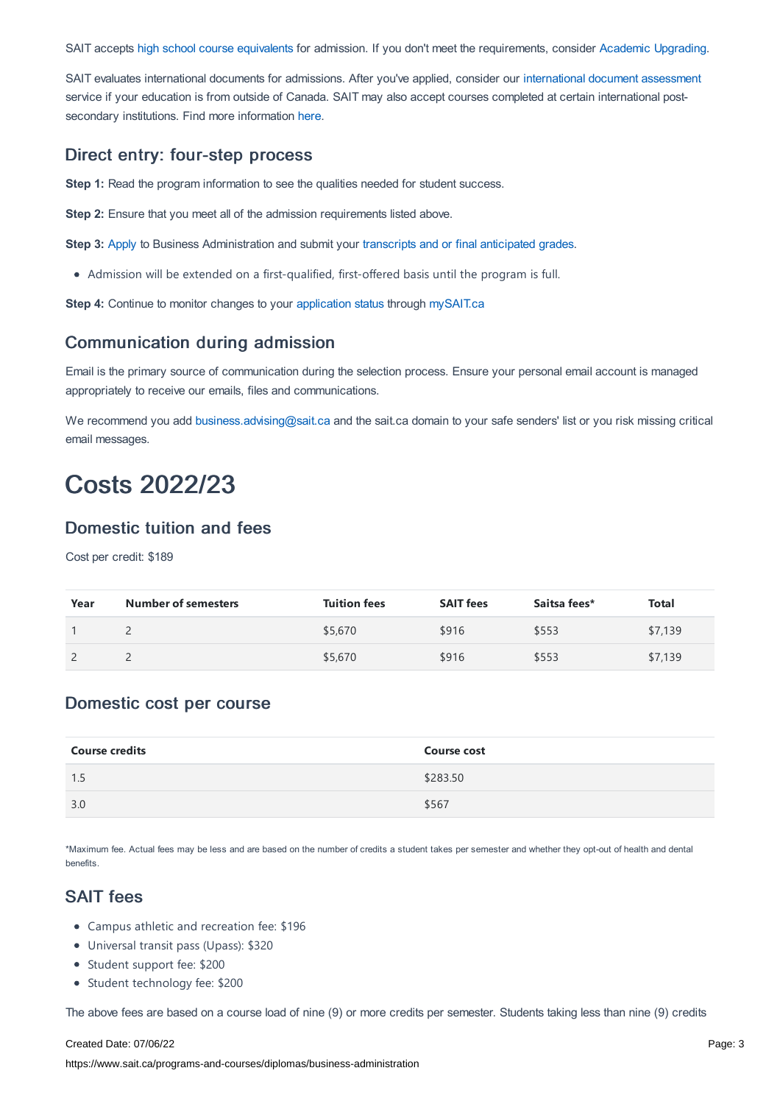SAIT accepts high school course [equivalents](https://www.sait.ca/admissions/before-you-apply/high-school-course-equivalencies) for admission. If you don't meet the requirements, consider Academic [Upgrading.](https://www.sait.ca/programs-and-courses/academic-upgrading)

SAIT evaluates international documents for admissions. After you've applied, consider our [international](https://www.sait.ca/admissions/after-you-apply/international-document-assessment) document assessment service if your education is from outside of Canada. SAIT may also accept courses completed at certain international postsecondary institutions. Find more information [here.](https://www.sait.ca/admissions/after-you-apply/international-institution-academic-partnerships)

#### Direct entry: four-step process

**Step 1:** Read the program information to see the qualities needed for student success.

**Step 2:** Ensure that you meet all of the admission requirements listed above.

**Step 3:** [Apply](https://www.sait.ca/admissions/apply) to Business Administration and submit your transcripts and or final [anticipated](https://www.sait.ca/admissions/after-you-apply/transcripts-and-supporting-documents) grades.

Admission will be extended on a first-qualified, first-offered basis until the program is full.

**Step 4:** Continue to monitor changes to your [application](https://www.sait.ca/admissions/after-you-apply/tracking-your-application) status through [mySAIT.ca](http://www.mysait.ca/)

#### Communication during admission

Email is the primary source of communication during the selection process. Ensure your personal email account is managed appropriately to receive our emails, files and communications.

We recommend you add [business.advising@sait.ca](https://sait.camailto:business.advising@sait.ca) and the sait.ca domain to your safe senders' list or you risk missing critical email messages.

### Costs 2022/23

#### Domestic tuition and fees

Cost per credit: \$189

| Year | <b>Number of semesters</b> | <b>Tuition fees</b> | <b>SAIT fees</b> | Saitsa fees* | Total   |
|------|----------------------------|---------------------|------------------|--------------|---------|
|      |                            | \$5,670             | \$916            | \$553        | \$7,139 |
|      |                            | \$5,670             | \$916            | \$553        | \$7,139 |

#### Domestic cost per course

| <b>Course credits</b> | <b>Course cost</b> |
|-----------------------|--------------------|
| 1.5                   | \$283.50           |
| 3.0                   | \$567              |

\*Maximum fee. Actual fees may be less and are based on the number of credits a student takes per semester and whether they opt-out of health and dental benefits.

#### SAIT fees

- Campus athletic and recreation fee: \$196
- Universal transit pass (Upass): \$320
- Student support fee: \$200
- Student technology fee: \$200

The above fees are based on a course load of nine (9) or more credits per semester. Students taking less than nine (9) credits

#### Created Date: 07/06/22

https://www.sait.ca/programs-and-courses/diplomas/business-administration